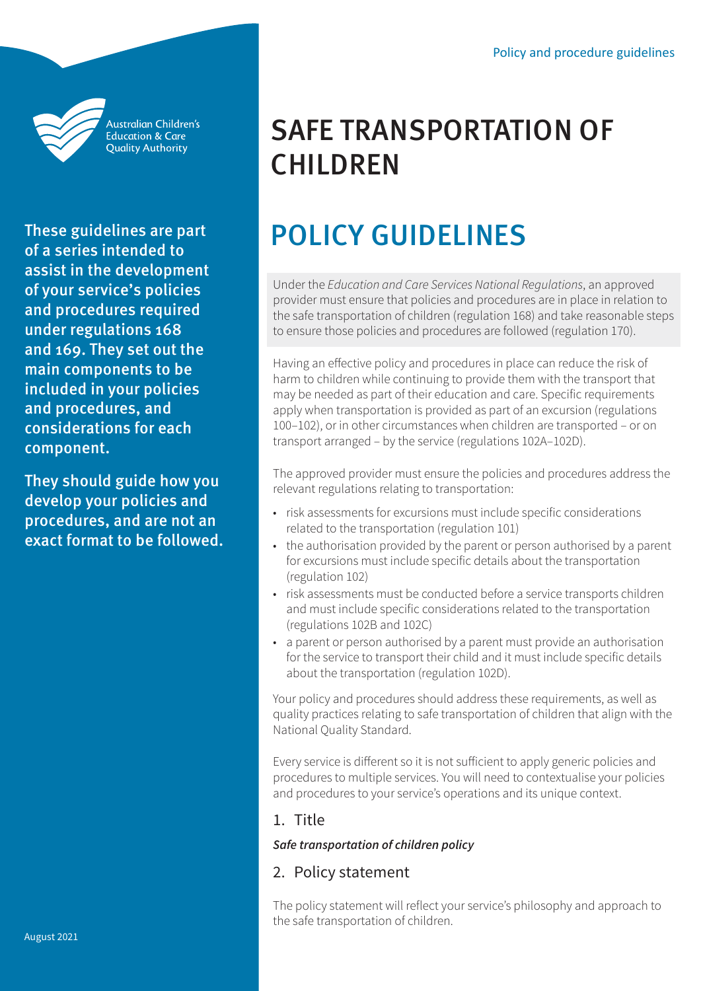

Australian Children's **Education & Care Quality Authority** 

These guidelines are part of a series intended to assist in the development of your service's policies and procedures required under regulations 168 and 169. They set out the main components to be included in your policies and procedures, and considerations for each component.

They should guide how you develop your policies and procedures, and are not an exact format to be followed.

# SAFE TRANSPORTATION OF **CHILDREN**

# POLICY GUIDELINES

Under the *Education and Care Services National Regulations*, an approved provider must ensure that policies and procedures are in place in relation to the safe transportation of children (regulation 168) and take reasonable steps to ensure those policies and procedures are followed (regulation 170).

Having an effective policy and procedures in place can reduce the risk of harm to children while continuing to provide them with the transport that may be needed as part of their education and care. Specific requirements apply when transportation is provided as part of an excursion (regulations 100–102), or in other circumstances when children are transported – or on transport arranged – by the service (regulations 102A–102D).

The approved provider must ensure the policies and procedures address the relevant regulations relating to transportation:

- risk assessments for excursions must include specific considerations related to the transportation (regulation 101)
- the authorisation provided by the parent or person authorised by a parent for excursions must include specific details about the transportation (regulation 102)
- risk assessments must be conducted before a service transports children and must include specific considerations related to the transportation (regulations 102B and 102C)
- a parent or person authorised by a parent must provide an authorisation for the service to transport their child and it must include specific details about the transportation (regulation 102D).

Your policy and procedures should address these requirements, as well as quality practices relating to safe transportation of children that align with the National Quality Standard.

Every service is different so it is not sufficient to apply generic policies and procedures to multiple services. You will need to contextualise your policies and procedures to your service's operations and its unique context.

# 1. Title

#### *Safe transportation of children policy*

# 2. Policy statement

The policy statement will reflect your service's philosophy and approach to the safe transportation of children.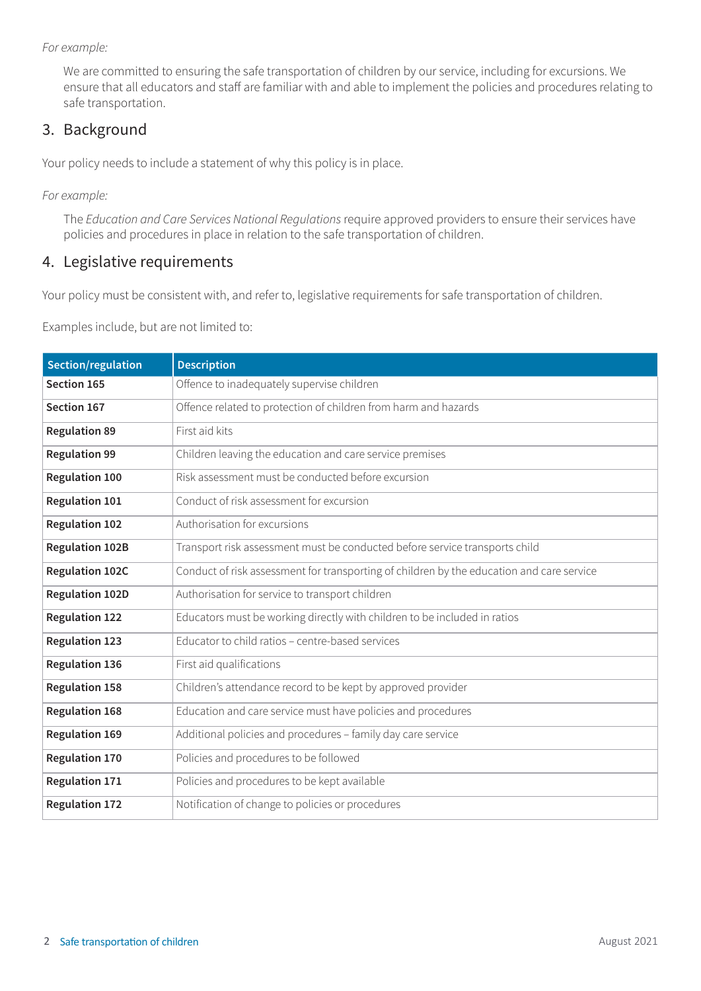*For example:* 

We are committed to ensuring the safe transportation of children by our service, including for excursions. We ensure that all educators and staff are familiar with and able to implement the policies and procedures relating to safe transportation.

# 3. Background

Your policy needs to include a statement of why this policy is in place.

*For example:* 

The *Education and Care Services National Regulations* require approved providers to ensure their services have policies and procedures in place in relation to the safe transportation of children.

#### 4. Legislative requirements

Your policy must be consistent with, and refer to, legislative requirements for safe transportation of children.

Examples include, but are not limited to:

| Section/regulation     | <b>Description</b>                                                                        |
|------------------------|-------------------------------------------------------------------------------------------|
| Section 165            | Offence to inadequately supervise children                                                |
| Section 167            | Offence related to protection of children from harm and hazards                           |
| <b>Regulation 89</b>   | First aid kits                                                                            |
| <b>Regulation 99</b>   | Children leaving the education and care service premises                                  |
| <b>Regulation 100</b>  | Risk assessment must be conducted before excursion                                        |
| <b>Regulation 101</b>  | Conduct of risk assessment for excursion                                                  |
| <b>Regulation 102</b>  | Authorisation for excursions                                                              |
| <b>Regulation 102B</b> | Transport risk assessment must be conducted before service transports child               |
| <b>Regulation 102C</b> | Conduct of risk assessment for transporting of children by the education and care service |
| <b>Regulation 102D</b> | Authorisation for service to transport children                                           |
| <b>Regulation 122</b>  | Educators must be working directly with children to be included in ratios                 |
| <b>Regulation 123</b>  | Educator to child ratios - centre-based services                                          |
| <b>Regulation 136</b>  | First aid qualifications                                                                  |
| <b>Regulation 158</b>  | Children's attendance record to be kept by approved provider                              |
| <b>Regulation 168</b>  | Education and care service must have policies and procedures                              |
| <b>Regulation 169</b>  | Additional policies and procedures - family day care service                              |
| <b>Regulation 170</b>  | Policies and procedures to be followed                                                    |
| <b>Regulation 171</b>  | Policies and procedures to be kept available                                              |
| <b>Regulation 172</b>  | Notification of change to policies or procedures                                          |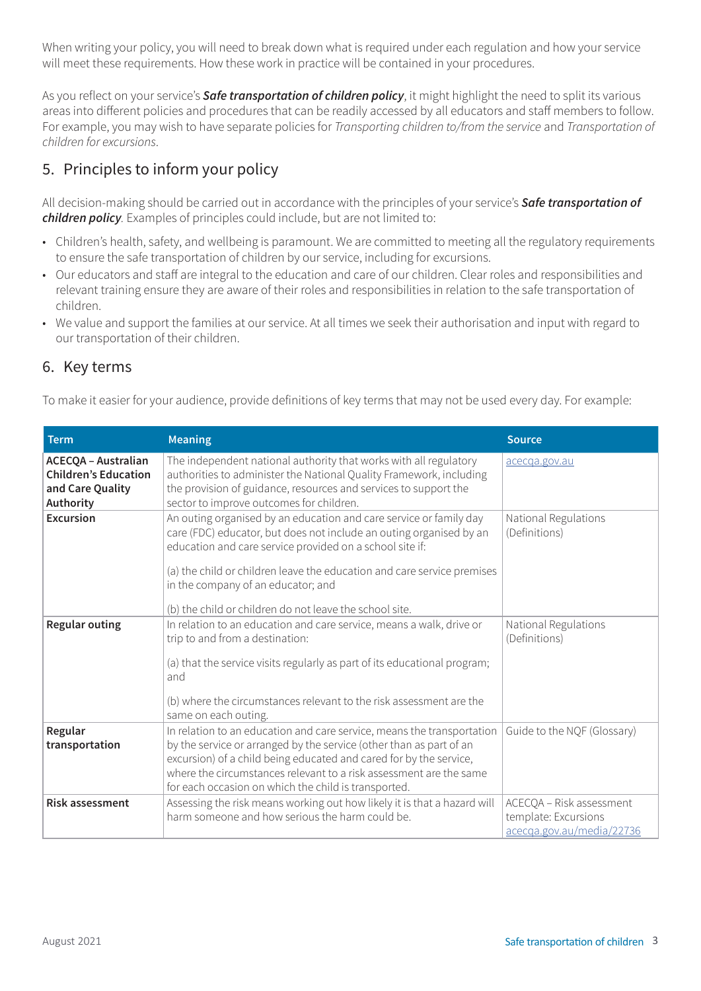When writing your policy, you will need to break down what is required under each regulation and how your service will meet these requirements. How these work in practice will be contained in your procedures.

As you reflect on your service's *Safe transportation of children policy*, it might highlight the need to split its various areas into different policies and procedures that can be readily accessed by all educators and staff members to follow. For example, you may wish to have separate policies for *Transporting children to/from the service* and *Transportation of children for excursions*.

# 5. Principles to inform your policy

All decision-making should be carried out in accordance with the principles of your service's *Safe transportation of children policy.* Examples of principles could include, but are not limited to:

- Children's health, safety, and wellbeing is paramount. We are committed to meeting all the regulatory requirements to ensure the safe transportation of children by our service, including for excursions.
- Our educators and staff are integral to the education and care of our children. Clear roles and responsibilities and relevant training ensure they are aware of their roles and responsibilities in relation to the safe transportation of children.
- We value and support the families at our service. At all times we seek their authorisation and input with regard to our transportation of their children.

# 6. Key terms

To make it easier for your audience, provide definitions of key terms that may not be used every day. For example:

| <b>Term</b>                                                                                | <b>Meaning</b>                                                                                                                                                                                                                                                                                                                                                                    | <b>Source</b>                                                                 |
|--------------------------------------------------------------------------------------------|-----------------------------------------------------------------------------------------------------------------------------------------------------------------------------------------------------------------------------------------------------------------------------------------------------------------------------------------------------------------------------------|-------------------------------------------------------------------------------|
| <b>ACECQA - Australian</b><br><b>Children's Education</b><br>and Care Quality<br>Authority | The independent national authority that works with all regulatory<br>authorities to administer the National Quality Framework, including<br>the provision of guidance, resources and services to support the<br>sector to improve outcomes for children.                                                                                                                          | acecqa.gov.au                                                                 |
| <b>Excursion</b>                                                                           | An outing organised by an education and care service or family day<br>care (FDC) educator, but does not include an outing organised by an<br>education and care service provided on a school site if:<br>(a) the child or children leave the education and care service premises<br>in the company of an educator; and<br>(b) the child or children do not leave the school site. | National Regulations<br>(Definitions)                                         |
| <b>Regular outing</b>                                                                      | In relation to an education and care service, means a walk, drive or<br>trip to and from a destination:<br>(a) that the service visits regularly as part of its educational program;<br>and<br>(b) where the circumstances relevant to the risk assessment are the<br>same on each outing.                                                                                        | National Regulations<br>(Definitions)                                         |
| Regular<br>transportation                                                                  | In relation to an education and care service, means the transportation<br>by the service or arranged by the service (other than as part of an<br>excursion) of a child being educated and cared for by the service,<br>where the circumstances relevant to a risk assessment are the same<br>for each occasion on which the child is transported.                                 | Guide to the NQF (Glossary)                                                   |
| <b>Risk assessment</b>                                                                     | Assessing the risk means working out how likely it is that a hazard will<br>harm someone and how serious the harm could be.                                                                                                                                                                                                                                                       | ACECQA - Risk assessment<br>template: Excursions<br>acecga.gov.au/media/22736 |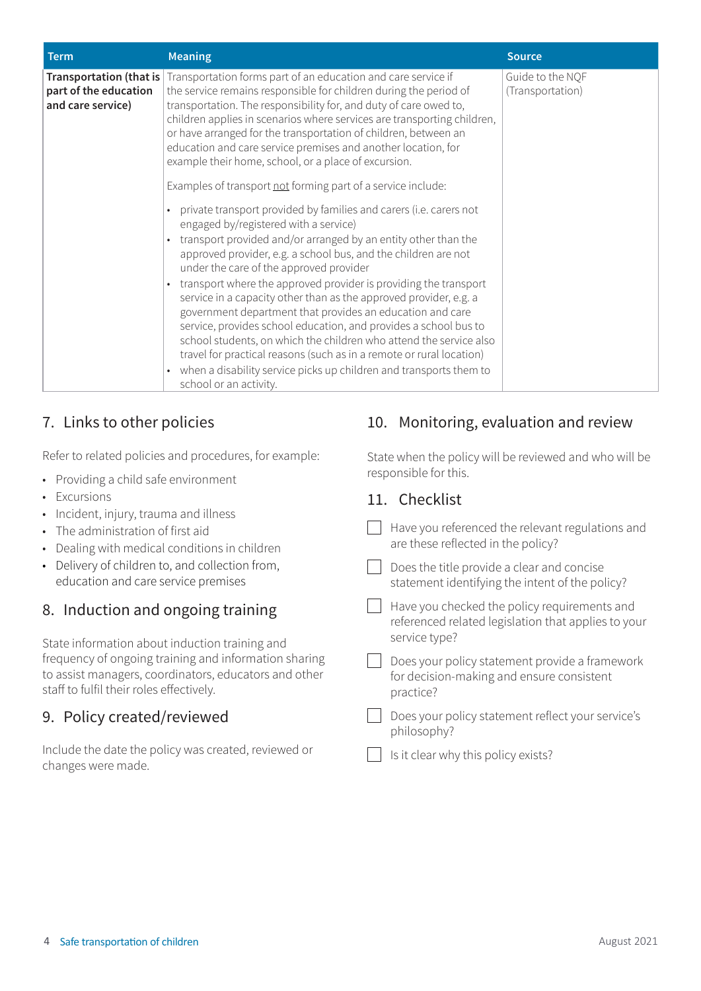| <b>Term</b>                                | <b>Meaning</b>                                                                                                                                                                                                                                                                                                                                                                                                                                                                                                                                                                                                                                                                                                                                                                                                                                                                                                            | <b>Source</b>                        |
|--------------------------------------------|---------------------------------------------------------------------------------------------------------------------------------------------------------------------------------------------------------------------------------------------------------------------------------------------------------------------------------------------------------------------------------------------------------------------------------------------------------------------------------------------------------------------------------------------------------------------------------------------------------------------------------------------------------------------------------------------------------------------------------------------------------------------------------------------------------------------------------------------------------------------------------------------------------------------------|--------------------------------------|
| part of the education<br>and care service) | <b>Transportation (that is</b> Transportation forms part of an education and care service if<br>the service remains responsible for children during the period of<br>transportation. The responsibility for, and duty of care owed to,<br>children applies in scenarios where services are transporting children,<br>or have arranged for the transportation of children, between an<br>education and care service premises and another location, for<br>example their home, school, or a place of excursion.                                                                                                                                                                                                                                                                                                                                                                                                             | Guide to the NQF<br>(Transportation) |
|                                            | Examples of transport not forming part of a service include:<br>private transport provided by families and carers (i.e. carers not<br>$\bullet$<br>engaged by/registered with a service)<br>transport provided and/or arranged by an entity other than the<br>$\bullet$<br>approved provider, e.g. a school bus, and the children are not<br>under the care of the approved provider<br>transport where the approved provider is providing the transport<br>service in a capacity other than as the approved provider, e.g. a<br>government department that provides an education and care<br>service, provides school education, and provides a school bus to<br>school students, on which the children who attend the service also<br>travel for practical reasons (such as in a remote or rural location)<br>when a disability service picks up children and transports them to<br>$\bullet$<br>school or an activity. |                                      |

# 7. Links to other policies

Refer to related policies and procedures, for example:

- Providing a child safe environment
- Excursions
- Incident, injury, trauma and illness
- The administration of first aid
- Dealing with medical conditions in children
- Delivery of children to, and collection from, education and care service premises

# 8. Induction and ongoing training

State information about induction training and frequency of ongoing training and information sharing to assist managers, coordinators, educators and other staff to fulfil their roles effectively.

# 9. Policy created/reviewed

Include the date the policy was created, reviewed or changes were made.

# 10. Monitoring, evaluation and review

State when the policy will be reviewed and who will be responsible for this.

#### 11. Checklist

|  | Have you referenced the relevant regulations and<br>are these reflected in the policy?                               |
|--|----------------------------------------------------------------------------------------------------------------------|
|  | Does the title provide a clear and concise<br>statement identifying the intent of the policy?                        |
|  | Have you checked the policy requirements and<br>referenced related legislation that applies to your<br>service type? |
|  | Does your policy statement provide a framework<br>for decision-making and ensure consistent<br>practice?             |
|  | Does your policy statement reflect your service's<br>philosophy?                                                     |
|  | Is it clear why this policy exists?                                                                                  |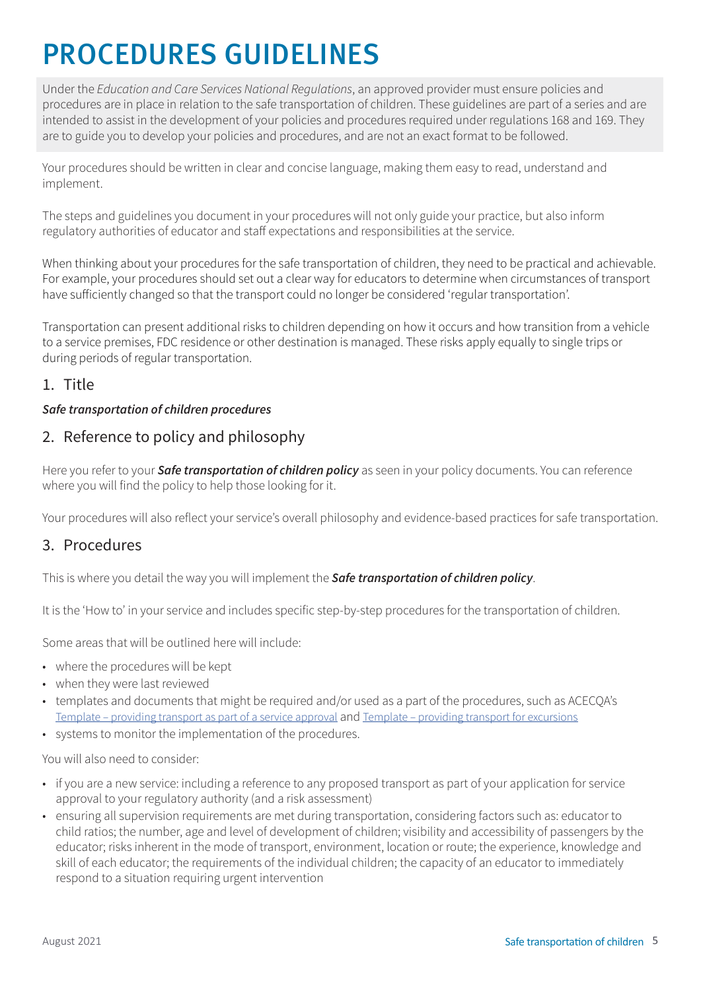# PROCEDURES GUIDELINES

Under the *Education and Care Services National Regulations*, an approved provider must ensure policies and procedures are in place in relation to the safe transportation of children. These guidelines are part of a series and are intended to assist in the development of your policies and procedures required under regulations 168 and 169. They are to guide you to develop your policies and procedures, and are not an exact format to be followed.

Your procedures should be written in clear and concise language, making them easy to read, understand and implement.

The steps and guidelines you document in your procedures will not only guide your practice, but also inform regulatory authorities of educator and staff expectations and responsibilities at the service.

When thinking about your procedures for the safe transportation of children, they need to be practical and achievable. For example, your procedures should set out a clear way for educators to determine when circumstances of transport have sufficiently changed so that the transport could no longer be considered 'regular transportation'.

Transportation can present additional risks to children depending on how it occurs and how transition from a vehicle to a service premises, FDC residence or other destination is managed. These risks apply equally to single trips or during periods of regular transportation.

# 1. Title

#### *Safe transportation of children procedures*

# 2. Reference to policy and philosophy

Here you refer to your *Safe transportation of children policy* as seen in your policy documents. You can reference where you will find the policy to help those looking for it.

Your procedures will also reflect your service's overall philosophy and evidence-based practices for safe transportation.

#### 3. Procedures

This is where you detail the way you will implement the *Safe transportation of children policy*.

It is the 'How to' in your service and includes specific step-by-step procedures for the transportation of children.

Some areas that will be outlined here will include:

- where the procedures will be kept
- when they were last reviewed
- templates and documents that might be required and/or used as a part of the procedures, such as ACECQA's [Template – providing transport as part of a service approval](https://www.acecqa.gov.au/media/29841) and [Template – providing transport for excursions](https://www.acecqa.gov.au/media/22736)
- systems to monitor the implementation of the procedures.

You will also need to consider:

- if you are a new service: including a reference to any proposed transport as part of your application for service approval to your regulatory authority (and a risk assessment)
- ensuring all supervision requirements are met during transportation, considering factors such as: educator to child ratios; the number, age and level of development of children; visibility and accessibility of passengers by the educator; risks inherent in the mode of transport, environment, location or route; the experience, knowledge and skill of each educator; the requirements of the individual children; the capacity of an educator to immediately respond to a situation requiring urgent intervention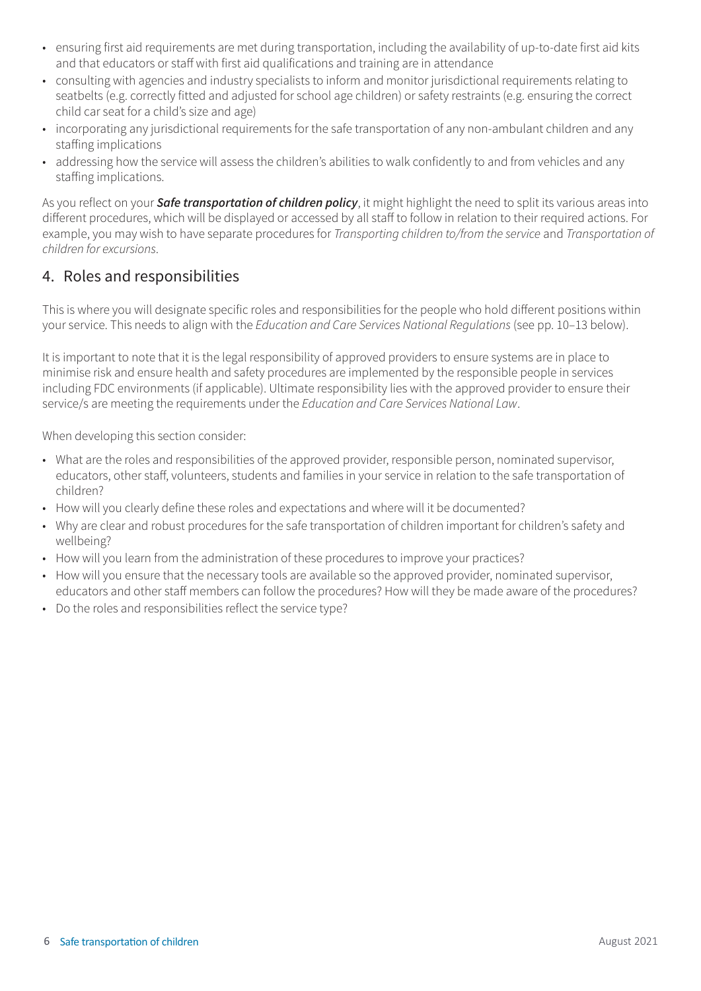- ensuring first aid requirements are met during transportation, including the availability of up-to-date first aid kits and that educators or staff with first aid qualifications and training are in attendance
- consulting with agencies and industry specialists to inform and monitor jurisdictional requirements relating to seatbelts (e.g. correctly fitted and adjusted for school age children) or safety restraints (e.g. ensuring the correct child car seat for a child's size and age)
- incorporating any jurisdictional requirements for the safe transportation of any non-ambulant children and any staffing implications
- addressing how the service will assess the children's abilities to walk confidently to and from vehicles and any staffing implications.

As you reflect on your *Safe transportation of children policy*, it might highlight the need to split its various areas into different procedures, which will be displayed or accessed by all staff to follow in relation to their required actions. For example, you may wish to have separate procedures for *Transporting children to/from the service* and *Transportation of children for excursions*.

# 4. Roles and responsibilities

This is where you will designate specific roles and responsibilities for the people who hold different positions within your service. This needs to align with the *Education and Care Services National Regulations* (see pp. 10–13 below).

It is important to note that it is the legal responsibility of approved providers to ensure systems are in place to minimise risk and ensure health and safety procedures are implemented by the responsible people in services including FDC environments (if applicable). Ultimate responsibility lies with the approved provider to ensure their service/s are meeting the requirements under the *Education and Care Services National Law*.

When developing this section consider:

- What are the roles and responsibilities of the approved provider, responsible person, nominated supervisor, educators, other staff, volunteers, students and families in your service in relation to the safe transportation of children?
- How will you clearly define these roles and expectations and where will it be documented?
- Why are clear and robust procedures for the safe transportation of children important for children's safety and wellbeing?
- How will you learn from the administration of these procedures to improve your practices?
- How will you ensure that the necessary tools are available so the approved provider, nominated supervisor, educators and other staff members can follow the procedures? How will they be made aware of the procedures?
- Do the roles and responsibilities reflect the service type?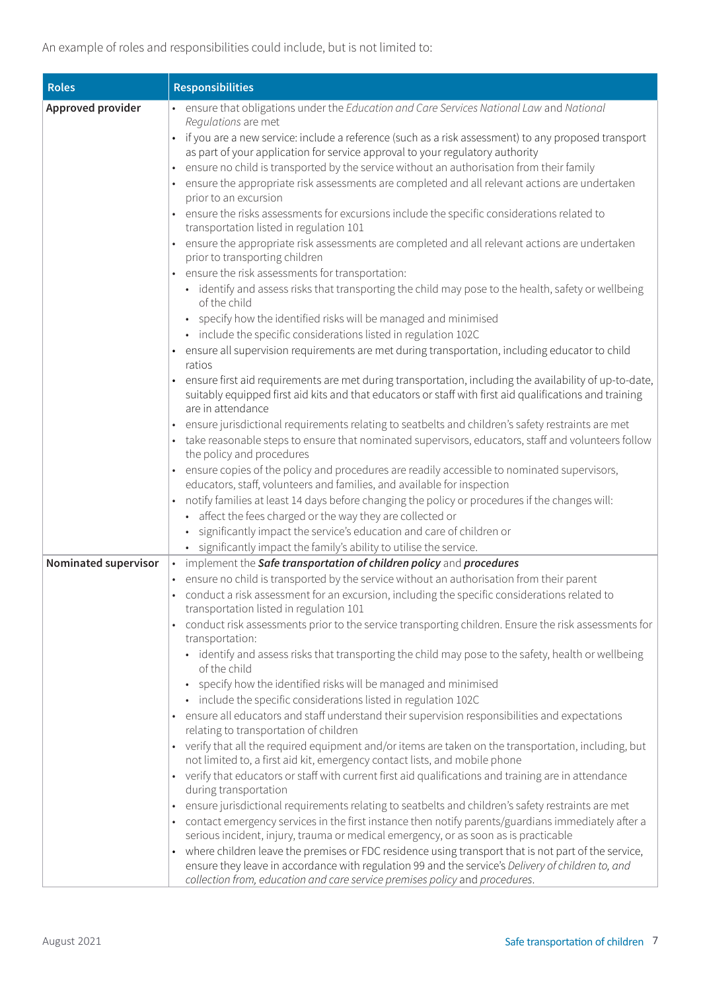| <b>Roles</b>         | <b>Responsibilities</b>                                                                                                                                                                                                                                                                                                                                                                                                                                                                                                                                                                                                                                                                                                                                                                                                                                                                                                                                                                                                                                                                                                                                                                                                                                                                                                                                                                                                                                                                         |
|----------------------|-------------------------------------------------------------------------------------------------------------------------------------------------------------------------------------------------------------------------------------------------------------------------------------------------------------------------------------------------------------------------------------------------------------------------------------------------------------------------------------------------------------------------------------------------------------------------------------------------------------------------------------------------------------------------------------------------------------------------------------------------------------------------------------------------------------------------------------------------------------------------------------------------------------------------------------------------------------------------------------------------------------------------------------------------------------------------------------------------------------------------------------------------------------------------------------------------------------------------------------------------------------------------------------------------------------------------------------------------------------------------------------------------------------------------------------------------------------------------------------------------|
| Approved provider    | • ensure that obligations under the Education and Care Services National Law and National                                                                                                                                                                                                                                                                                                                                                                                                                                                                                                                                                                                                                                                                                                                                                                                                                                                                                                                                                                                                                                                                                                                                                                                                                                                                                                                                                                                                       |
|                      | Requlations are met<br>if you are a new service: include a reference (such as a risk assessment) to any proposed transport<br>as part of your application for service approval to your regulatory authority<br>ensure no child is transported by the service without an authorisation from their family<br>ensure the appropriate risk assessments are completed and all relevant actions are undertaken<br>prior to an excursion<br>ensure the risks assessments for excursions include the specific considerations related to<br>transportation listed in regulation 101<br>• ensure the appropriate risk assessments are completed and all relevant actions are undertaken<br>prior to transporting children<br>• ensure the risk assessments for transportation:<br>• identify and assess risks that transporting the child may pose to the health, safety or wellbeing<br>of the child<br>• specify how the identified risks will be managed and minimised<br>· include the specific considerations listed in regulation 102C<br>• ensure all supervision requirements are met during transportation, including educator to child<br>ratios<br>ensure first aid requirements are met during transportation, including the availability of up-to-date,<br>suitably equipped first aid kits and that educators or staff with first aid qualifications and training<br>are in attendance<br>ensure jurisdictional requirements relating to seatbelts and children's safety restraints are met |
|                      | • take reasonable steps to ensure that nominated supervisors, educators, staff and volunteers follow<br>the policy and procedures                                                                                                                                                                                                                                                                                                                                                                                                                                                                                                                                                                                                                                                                                                                                                                                                                                                                                                                                                                                                                                                                                                                                                                                                                                                                                                                                                               |
|                      | ensure copies of the policy and procedures are readily accessible to nominated supervisors,<br>$\bullet$<br>educators, staff, volunteers and families, and available for inspection<br>notify families at least 14 days before changing the policy or procedures if the changes will:<br>$\bullet$<br>• affect the fees charged or the way they are collected or                                                                                                                                                                                                                                                                                                                                                                                                                                                                                                                                                                                                                                                                                                                                                                                                                                                                                                                                                                                                                                                                                                                                |
|                      | significantly impact the service's education and care of children or<br>· significantly impact the family's ability to utilise the service.                                                                                                                                                                                                                                                                                                                                                                                                                                                                                                                                                                                                                                                                                                                                                                                                                                                                                                                                                                                                                                                                                                                                                                                                                                                                                                                                                     |
| Nominated supervisor | • implement the Safe transportation of children policy and procedures                                                                                                                                                                                                                                                                                                                                                                                                                                                                                                                                                                                                                                                                                                                                                                                                                                                                                                                                                                                                                                                                                                                                                                                                                                                                                                                                                                                                                           |
|                      | ensure no child is transported by the service without an authorisation from their parent<br>conduct a risk assessment for an excursion, including the specific considerations related to<br>transportation listed in regulation 101<br>conduct risk assessments prior to the service transporting children. Ensure the risk assessments for<br>transportation:<br>• identify and assess risks that transporting the child may pose to the safety, health or wellbeing                                                                                                                                                                                                                                                                                                                                                                                                                                                                                                                                                                                                                                                                                                                                                                                                                                                                                                                                                                                                                           |
|                      | of the child<br>specify how the identified risks will be managed and minimised<br>$\bullet$<br>· include the specific considerations listed in regulation 102C<br>• ensure all educators and staff understand their supervision responsibilities and expectations<br>relating to transportation of children<br>• verify that all the required equipment and/or items are taken on the transportation, including, but<br>not limited to, a first aid kit, emergency contact lists, and mobile phone<br>• verify that educators or staff with current first aid qualifications and training are in attendance<br>during transportation<br>ensure jurisdictional requirements relating to seatbelts and children's safety restraints are met<br>contact emergency services in the first instance then notify parents/guardians immediately after a<br>serious incident, injury, trauma or medical emergency, or as soon as is practicable<br>where children leave the premises or FDC residence using transport that is not part of the service,<br>$\bullet$                                                                                                                                                                                                                                                                                                                                                                                                                                      |
|                      | ensure they leave in accordance with regulation 99 and the service's Delivery of children to, and<br>collection from, education and care service premises policy and procedures.                                                                                                                                                                                                                                                                                                                                                                                                                                                                                                                                                                                                                                                                                                                                                                                                                                                                                                                                                                                                                                                                                                                                                                                                                                                                                                                |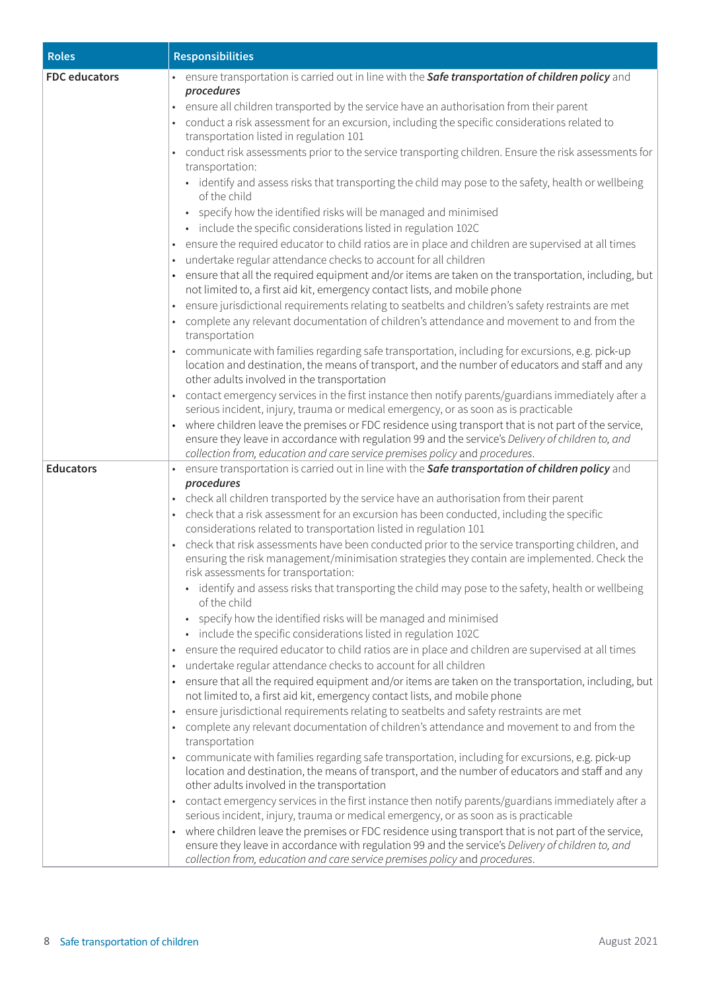| <b>Roles</b>         | <b>Responsibilities</b>                                                                                                                                                                                                                                                                                                                                                                                                                                                                |  |
|----------------------|----------------------------------------------------------------------------------------------------------------------------------------------------------------------------------------------------------------------------------------------------------------------------------------------------------------------------------------------------------------------------------------------------------------------------------------------------------------------------------------|--|
| <b>FDC</b> educators | ensure transportation is carried out in line with the Safe transportation of children policy and                                                                                                                                                                                                                                                                                                                                                                                       |  |
|                      | procedures<br>ensure all children transported by the service have an authorisation from their parent<br>conduct a risk assessment for an excursion, including the specific considerations related to<br>transportation listed in regulation 101<br>conduct risk assessments prior to the service transporting children. Ensure the risk assessments for<br>transportation:                                                                                                             |  |
|                      | • identify and assess risks that transporting the child may pose to the safety, health or wellbeing<br>of the child<br>• specify how the identified risks will be managed and minimised<br>• include the specific considerations listed in regulation 102C<br>. ensure the required educator to child ratios are in place and children are supervised at all times                                                                                                                     |  |
|                      | undertake regular attendance checks to account for all children                                                                                                                                                                                                                                                                                                                                                                                                                        |  |
|                      | ensure that all the required equipment and/or items are taken on the transportation, including, but<br>not limited to, a first aid kit, emergency contact lists, and mobile phone                                                                                                                                                                                                                                                                                                      |  |
|                      | · ensure jurisdictional requirements relating to seatbelts and children's safety restraints are met<br>complete any relevant documentation of children's attendance and movement to and from the<br>transportation                                                                                                                                                                                                                                                                     |  |
|                      | communicate with families regarding safe transportation, including for excursions, e.g. pick-up<br>location and destination, the means of transport, and the number of educators and staff and any<br>other adults involved in the transportation                                                                                                                                                                                                                                      |  |
|                      | contact emergency services in the first instance then notify parents/guardians immediately after a<br>serious incident, injury, trauma or medical emergency, or as soon as is practicable<br>• where children leave the premises or FDC residence using transport that is not part of the service,<br>ensure they leave in accordance with regulation 99 and the service's Delivery of children to, and<br>collection from, education and care service premises policy and procedures. |  |
| <b>Educators</b>     | ensure transportation is carried out in line with the Safe transportation of children policy and                                                                                                                                                                                                                                                                                                                                                                                       |  |
|                      | procedures                                                                                                                                                                                                                                                                                                                                                                                                                                                                             |  |
|                      | • check all children transported by the service have an authorisation from their parent                                                                                                                                                                                                                                                                                                                                                                                                |  |
|                      | check that a risk assessment for an excursion has been conducted, including the specific<br>considerations related to transportation listed in regulation 101                                                                                                                                                                                                                                                                                                                          |  |
|                      | check that risk assessments have been conducted prior to the service transporting children, and<br>ensuring the risk management/minimisation strategies they contain are implemented. Check the<br>risk assessments for transportation:                                                                                                                                                                                                                                                |  |
|                      | • identify and assess risks that transporting the child may pose to the safety, health or wellbeing<br>of the child                                                                                                                                                                                                                                                                                                                                                                    |  |
|                      | • specify how the identified risks will be managed and minimised<br>· include the specific considerations listed in regulation 102C                                                                                                                                                                                                                                                                                                                                                    |  |
|                      | . ensure the required educator to child ratios are in place and children are supervised at all times                                                                                                                                                                                                                                                                                                                                                                                   |  |
|                      | undertake regular attendance checks to account for all children                                                                                                                                                                                                                                                                                                                                                                                                                        |  |
|                      | ensure that all the required equipment and/or items are taken on the transportation, including, but<br>not limited to, a first aid kit, emergency contact lists, and mobile phone                                                                                                                                                                                                                                                                                                      |  |
|                      | ensure jurisdictional requirements relating to seatbelts and safety restraints are met                                                                                                                                                                                                                                                                                                                                                                                                 |  |
|                      | complete any relevant documentation of children's attendance and movement to and from the<br>transportation                                                                                                                                                                                                                                                                                                                                                                            |  |
|                      | • communicate with families regarding safe transportation, including for excursions, e.g. pick-up<br>location and destination, the means of transport, and the number of educators and staff and any<br>other adults involved in the transportation                                                                                                                                                                                                                                    |  |
|                      | contact emergency services in the first instance then notify parents/guardians immediately after a<br>$\bullet$<br>serious incident, injury, trauma or medical emergency, or as soon as is practicable                                                                                                                                                                                                                                                                                 |  |
|                      | where children leave the premises or FDC residence using transport that is not part of the service,<br>ensure they leave in accordance with regulation 99 and the service's Delivery of children to, and<br>collection from, education and care service premises policy and procedures.                                                                                                                                                                                                |  |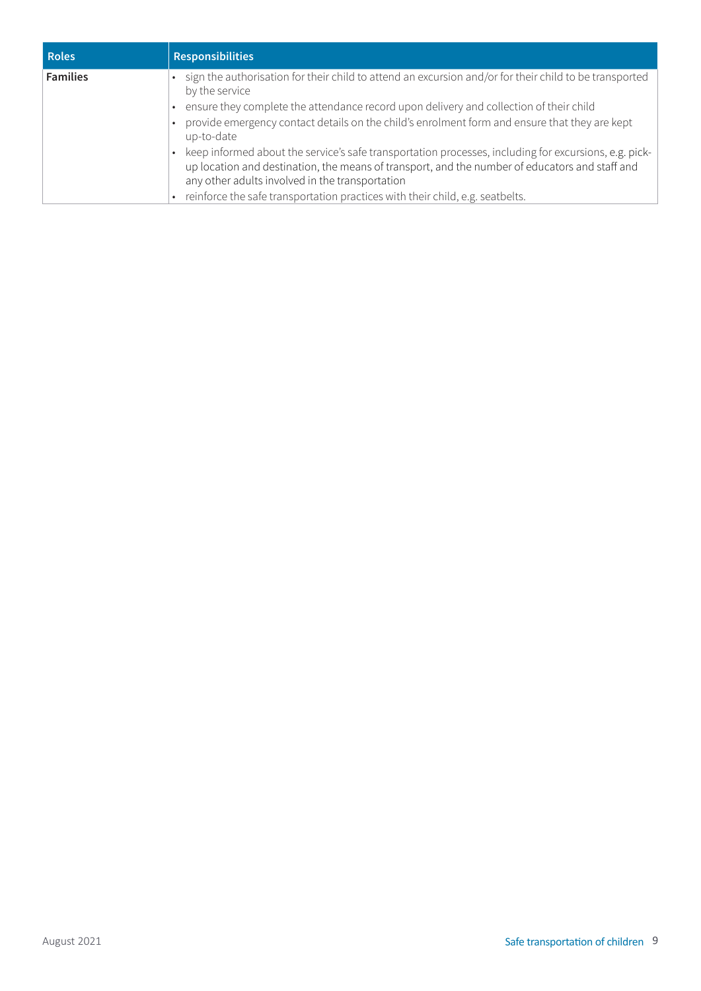| <b>Roles</b>    | <b>Responsibilities</b>                                                                                                                                                                                                                                                                                                                                   |
|-----------------|-----------------------------------------------------------------------------------------------------------------------------------------------------------------------------------------------------------------------------------------------------------------------------------------------------------------------------------------------------------|
| <b>Families</b> | • sign the authorisation for their child to attend an excursion and/or for their child to be transported<br>by the service<br>. ensure they complete the attendance record upon delivery and collection of their child<br>provide emergency contact details on the child's enrolment form and ensure that they are kept                                   |
|                 | up-to-date<br>keep informed about the service's safe transportation processes, including for excursions, e.g. pick-<br>up location and destination, the means of transport, and the number of educators and staff and<br>any other adults involved in the transportation<br>reinforce the safe transportation practices with their child, e.g. seatbelts. |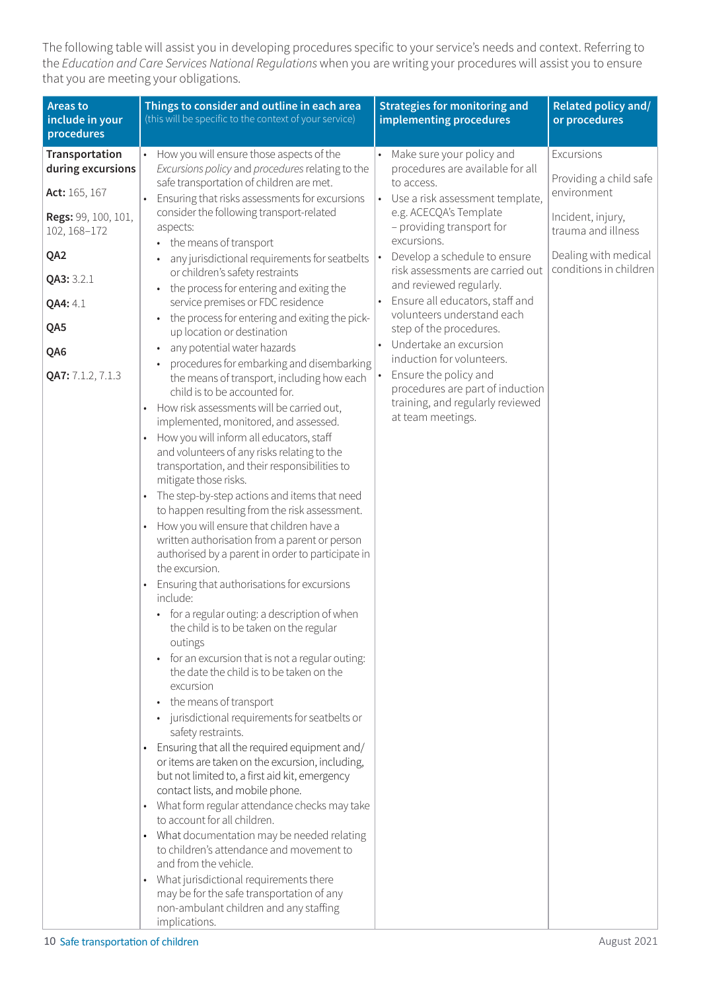The following table will assist you in developing procedures specific to your service's needs and context. Referring to the *Education and Care Services National Regulations* when you are writing your procedures will assist you to ensure that you are meeting your obligations.

| <b>Areas to</b><br>include in your<br>procedures                                                                                                       | Things to consider and outline in each area<br>(this will be specific to the context of your service)                                                                                                                                                                                                                                                                                                                                                                                                                                                                                                                                                                                                                                                                                                                                                                                                                                                                                                                                                                                                                                                                                                                                                                                                                                                                                                                                                                                                                                                                                                                                                       | <b>Strategies for monitoring and</b><br>implementing procedures                                                                                                                                                                                                                                                                                                                                                                                                 | Related policy and/<br>or procedures                                                                                                             |
|--------------------------------------------------------------------------------------------------------------------------------------------------------|-------------------------------------------------------------------------------------------------------------------------------------------------------------------------------------------------------------------------------------------------------------------------------------------------------------------------------------------------------------------------------------------------------------------------------------------------------------------------------------------------------------------------------------------------------------------------------------------------------------------------------------------------------------------------------------------------------------------------------------------------------------------------------------------------------------------------------------------------------------------------------------------------------------------------------------------------------------------------------------------------------------------------------------------------------------------------------------------------------------------------------------------------------------------------------------------------------------------------------------------------------------------------------------------------------------------------------------------------------------------------------------------------------------------------------------------------------------------------------------------------------------------------------------------------------------------------------------------------------------------------------------------------------------|-----------------------------------------------------------------------------------------------------------------------------------------------------------------------------------------------------------------------------------------------------------------------------------------------------------------------------------------------------------------------------------------------------------------------------------------------------------------|--------------------------------------------------------------------------------------------------------------------------------------------------|
| Transportation<br>during excursions<br>Act: 165, 167<br>Regs: 99, 100, 101,<br>102, 168-172<br>QA <sub>2</sub><br>QA3: 3.2.1<br>QA4: 4.1<br>QA5<br>QA6 | How you will ensure those aspects of the<br>Excursions policy and procedures relating to the<br>safe transportation of children are met.<br>Ensuring that risks assessments for excursions<br>consider the following transport-related<br>aspects:<br>• the means of transport<br>any jurisdictional requirements for seatbelts<br>or children's safety restraints<br>the process for entering and exiting the<br>$\bullet$<br>service premises or FDC residence<br>the process for entering and exiting the pick-<br>$\bullet$<br>up location or destination<br>any potential water hazards<br>$\bullet$<br>procedures for embarking and disembarking                                                                                                                                                                                                                                                                                                                                                                                                                                                                                                                                                                                                                                                                                                                                                                                                                                                                                                                                                                                                      | Make sure your policy and<br>procedures are available for all<br>to access.<br>Use a risk assessment template,<br>e.g. ACECQA's Template<br>- providing transport for<br>excursions.<br>Develop a schedule to ensure<br>risk assessments are carried out<br>and reviewed regularly.<br>Ensure all educators, staff and<br>volunteers understand each<br>step of the procedures.<br>Undertake an excursion<br>induction for volunteers.<br>Ensure the policy and | Excursions<br>Providing a child safe<br>environment<br>Incident, injury,<br>trauma and illness<br>Dealing with medical<br>conditions in children |
| QA7: 7.1.2, 7.1.3                                                                                                                                      | the means of transport, including how each<br>child is to be accounted for.<br>How risk assessments will be carried out,<br>implemented, monitored, and assessed.<br>How you will inform all educators, staff<br>and volunteers of any risks relating to the<br>transportation, and their responsibilities to<br>mitigate those risks.<br>The step-by-step actions and items that need<br>$\bullet$<br>to happen resulting from the risk assessment.<br>How you will ensure that children have a<br>$\bullet$<br>written authorisation from a parent or person<br>authorised by a parent in order to participate in<br>the excursion.<br>Ensuring that authorisations for excursions<br>include:<br>• for a regular outing: a description of when<br>the child is to be taken on the regular<br>outings<br>for an excursion that is not a regular outing:<br>$\bullet$<br>the date the child is to be taken on the<br>excursion<br>the means of transport<br>$\bullet$<br>jurisdictional requirements for seatbelts or<br>$\bullet$<br>safety restraints.<br>Ensuring that all the required equipment and/<br>$\bullet$<br>or items are taken on the excursion, including,<br>but not limited to, a first aid kit, emergency<br>contact lists, and mobile phone.<br>What form regular attendance checks may take<br>$\bullet$<br>to account for all children.<br>What documentation may be needed relating<br>$\bullet$<br>to children's attendance and movement to<br>and from the vehicle.<br>What jurisdictional requirements there<br>$\bullet$<br>may be for the safe transportation of any<br>non-ambulant children and any staffing<br>implications. | procedures are part of induction<br>training, and regularly reviewed<br>at team meetings.                                                                                                                                                                                                                                                                                                                                                                       |                                                                                                                                                  |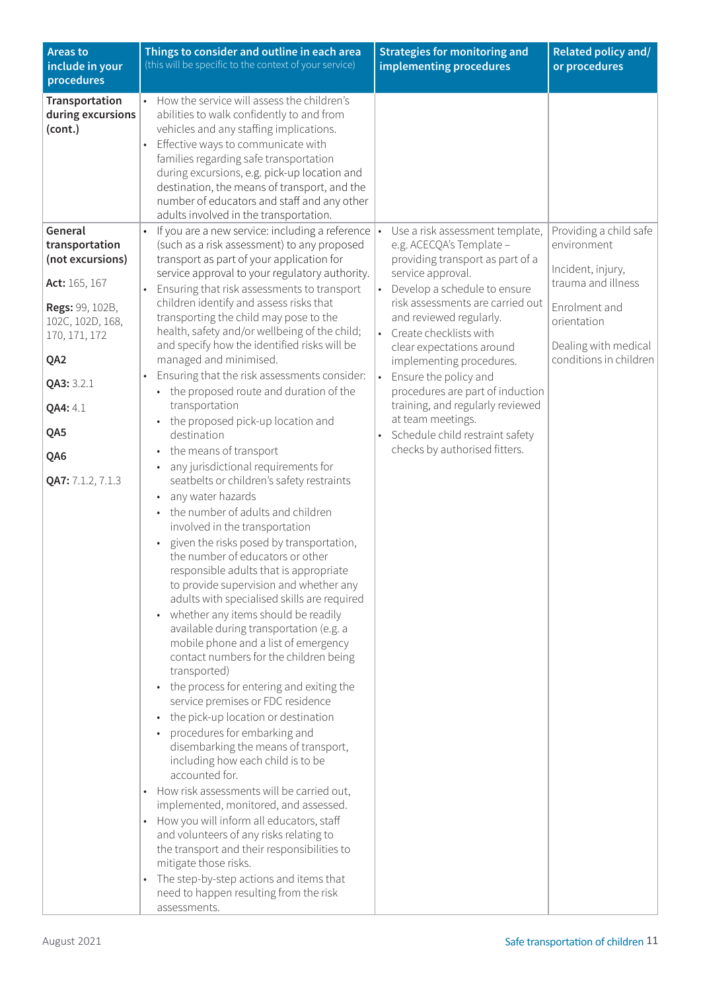| <b>Areas to</b><br>include in your<br>procedures                                                                                                 | Things to consider and outline in each area<br>(this will be specific to the context of your service)                                                                                                                                                                                                                                                                                                                                                                                                                                                                                                                                                                                                                                                                                                                                                                                                                                                                                                                                                                                                                                                                                                                                                                                                                                                                                                                                                                                                                                                                                                                                                                  | <b>Strategies for monitoring and</b><br>implementing procedures                                                                                                                                                                                                                                                                                                                                      | Related policy and/<br>or procedures                                                                 |
|--------------------------------------------------------------------------------------------------------------------------------------------------|------------------------------------------------------------------------------------------------------------------------------------------------------------------------------------------------------------------------------------------------------------------------------------------------------------------------------------------------------------------------------------------------------------------------------------------------------------------------------------------------------------------------------------------------------------------------------------------------------------------------------------------------------------------------------------------------------------------------------------------------------------------------------------------------------------------------------------------------------------------------------------------------------------------------------------------------------------------------------------------------------------------------------------------------------------------------------------------------------------------------------------------------------------------------------------------------------------------------------------------------------------------------------------------------------------------------------------------------------------------------------------------------------------------------------------------------------------------------------------------------------------------------------------------------------------------------------------------------------------------------------------------------------------------------|------------------------------------------------------------------------------------------------------------------------------------------------------------------------------------------------------------------------------------------------------------------------------------------------------------------------------------------------------------------------------------------------------|------------------------------------------------------------------------------------------------------|
| Transportation<br>during excursions<br>(cont.)<br>General<br>transportation<br>(not excursions)                                                  | How the service will assess the children's<br>abilities to walk confidently to and from<br>vehicles and any staffing implications.<br>Effective ways to communicate with<br>families regarding safe transportation<br>during excursions, e.g. pick-up location and<br>destination, the means of transport, and the<br>number of educators and staff and any other<br>adults involved in the transportation.<br>If you are a new service: including a reference<br>$\bullet$<br>(such as a risk assessment) to any proposed<br>transport as part of your application for<br>service approval to your regulatory authority.                                                                                                                                                                                                                                                                                                                                                                                                                                                                                                                                                                                                                                                                                                                                                                                                                                                                                                                                                                                                                                              | Use a risk assessment template,<br>e.g. ACECQA's Template -<br>providing transport as part of a<br>service approval.                                                                                                                                                                                                                                                                                 | Providing a child safe<br>environment<br>Incident, injury,                                           |
| Act: 165, 167<br>Regs: 99, 102B,<br>102C, 102D, 168,<br>170, 171, 172<br>QA2<br>QA3: 3.2.1<br><b>QA4: 4.1</b><br>QA5<br>QA6<br>QA7: 7.1.2, 7.1.3 | Ensuring that risk assessments to transport<br>$\bullet$<br>children identify and assess risks that<br>transporting the child may pose to the<br>health, safety and/or wellbeing of the child;<br>and specify how the identified risks will be<br>managed and minimised.<br>Ensuring that the risk assessments consider:<br>• the proposed route and duration of the<br>transportation<br>the proposed pick-up location and<br>$\bullet$<br>destination<br>the means of transport<br>any jurisdictional requirements for<br>seatbelts or children's safety restraints<br>any water hazards<br>the number of adults and children<br>involved in the transportation<br>given the risks posed by transportation,<br>the number of educators or other<br>responsible adults that is appropriate<br>to provide supervision and whether any<br>adults with specialised skills are required<br>whether any items should be readily<br>$\bullet$<br>available during transportation (e.g. a<br>mobile phone and a list of emergency<br>contact numbers for the children being<br>transported)<br>the process for entering and exiting the<br>service premises or FDC residence<br>the pick-up location or destination<br>procedures for embarking and<br>disembarking the means of transport,<br>including how each child is to be<br>accounted for.<br>How risk assessments will be carried out,<br>$\bullet$<br>implemented, monitored, and assessed.<br>How you will inform all educators, staff<br>and volunteers of any risks relating to<br>the transport and their responsibilities to<br>mitigate those risks.<br>The step-by-step actions and items that<br>$\bullet$ | Develop a schedule to ensure<br>$\bullet$<br>risk assessments are carried out<br>and reviewed regularly.<br>• Create checklists with<br>clear expectations around<br>implementing procedures.<br>Ensure the policy and<br>$\bullet$<br>procedures are part of induction<br>training, and regularly reviewed<br>at team meetings.<br>Schedule child restraint safety<br>checks by authorised fitters. | trauma and illness<br>Enrolment and<br>orientation<br>Dealing with medical<br>conditions in children |
|                                                                                                                                                  | need to happen resulting from the risk<br>assessments.                                                                                                                                                                                                                                                                                                                                                                                                                                                                                                                                                                                                                                                                                                                                                                                                                                                                                                                                                                                                                                                                                                                                                                                                                                                                                                                                                                                                                                                                                                                                                                                                                 |                                                                                                                                                                                                                                                                                                                                                                                                      |                                                                                                      |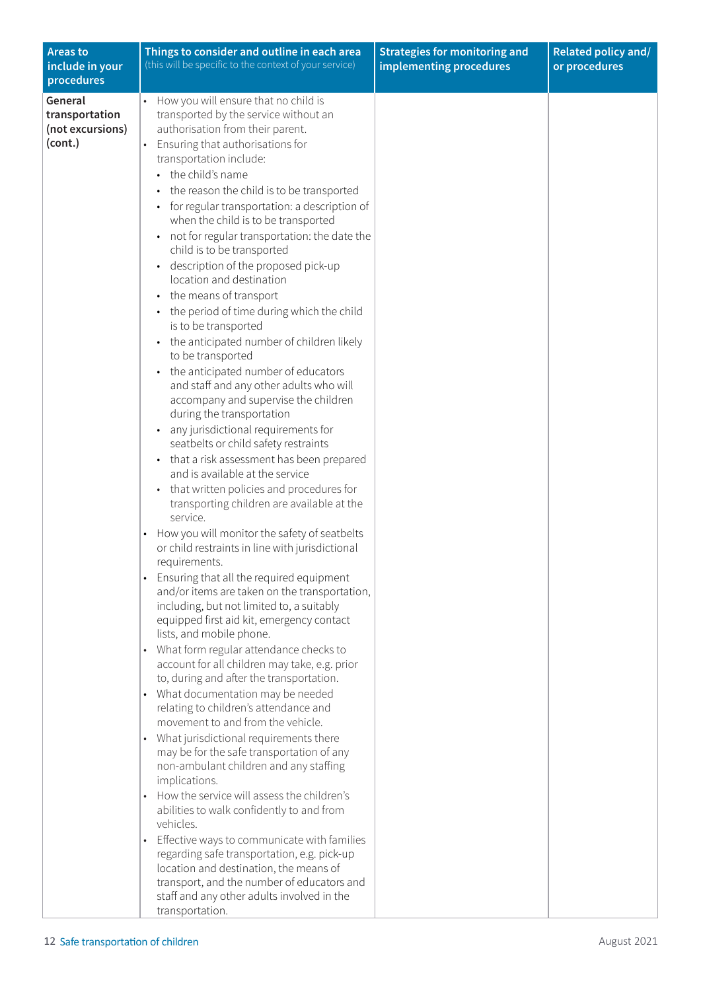| <b>Areas to</b><br>include in your<br>procedures         | Things to consider and outline in each area<br>(this will be specific to the context of your service)                                                                                                                                                                                                                                                                                                                                                                                                                                                                                                                                                                                                                                                                                                                                                                                                                                                                                                                                                                                                                                                                                                                                                                                                                                                                                                                                                                                                                                                                                                                                                                                                                                                                                                                                                                                                                                                                                                                                                                                                                                                                                                                                                                                                                           | <b>Strategies for monitoring and</b><br>implementing procedures | Related policy and/<br>or procedures |
|----------------------------------------------------------|---------------------------------------------------------------------------------------------------------------------------------------------------------------------------------------------------------------------------------------------------------------------------------------------------------------------------------------------------------------------------------------------------------------------------------------------------------------------------------------------------------------------------------------------------------------------------------------------------------------------------------------------------------------------------------------------------------------------------------------------------------------------------------------------------------------------------------------------------------------------------------------------------------------------------------------------------------------------------------------------------------------------------------------------------------------------------------------------------------------------------------------------------------------------------------------------------------------------------------------------------------------------------------------------------------------------------------------------------------------------------------------------------------------------------------------------------------------------------------------------------------------------------------------------------------------------------------------------------------------------------------------------------------------------------------------------------------------------------------------------------------------------------------------------------------------------------------------------------------------------------------------------------------------------------------------------------------------------------------------------------------------------------------------------------------------------------------------------------------------------------------------------------------------------------------------------------------------------------------------------------------------------------------------------------------------------------------|-----------------------------------------------------------------|--------------------------------------|
| General<br>transportation<br>(not excursions)<br>(cont.) | How you will ensure that no child is<br>transported by the service without an<br>authorisation from their parent.<br>Ensuring that authorisations for<br>$\bullet$<br>transportation include:<br>• the child's name<br>the reason the child is to be transported<br>for regular transportation: a description of<br>when the child is to be transported<br>not for regular transportation: the date the<br>child is to be transported<br>description of the proposed pick-up<br>location and destination<br>the means of transport<br>the period of time during which the child<br>is to be transported<br>the anticipated number of children likely<br>$\bullet$<br>to be transported<br>the anticipated number of educators<br>$\bullet$<br>and staff and any other adults who will<br>accompany and supervise the children<br>during the transportation<br>any jurisdictional requirements for<br>seatbelts or child safety restraints<br>• that a risk assessment has been prepared<br>and is available at the service<br>that written policies and procedures for<br>transporting children are available at the<br>service.<br>How you will monitor the safety of seatbelts<br>$\bullet$<br>or child restraints in line with jurisdictional<br>requirements.<br>Ensuring that all the required equipment<br>and/or items are taken on the transportation,<br>including, but not limited to, a suitably<br>equipped first aid kit, emergency contact<br>lists, and mobile phone.<br>What form regular attendance checks to<br>$\bullet$<br>account for all children may take, e.g. prior<br>to, during and after the transportation.<br>What documentation may be needed<br>$\bullet$<br>relating to children's attendance and<br>movement to and from the vehicle.<br>What jurisdictional requirements there<br>$\bullet$<br>may be for the safe transportation of any<br>non-ambulant children and any staffing<br>implications.<br>How the service will assess the children's<br>$\bullet$<br>abilities to walk confidently to and from<br>vehicles.<br>Effective ways to communicate with families<br>$\bullet$<br>regarding safe transportation, e.g. pick-up<br>location and destination, the means of<br>transport, and the number of educators and<br>staff and any other adults involved in the<br>transportation. |                                                                 |                                      |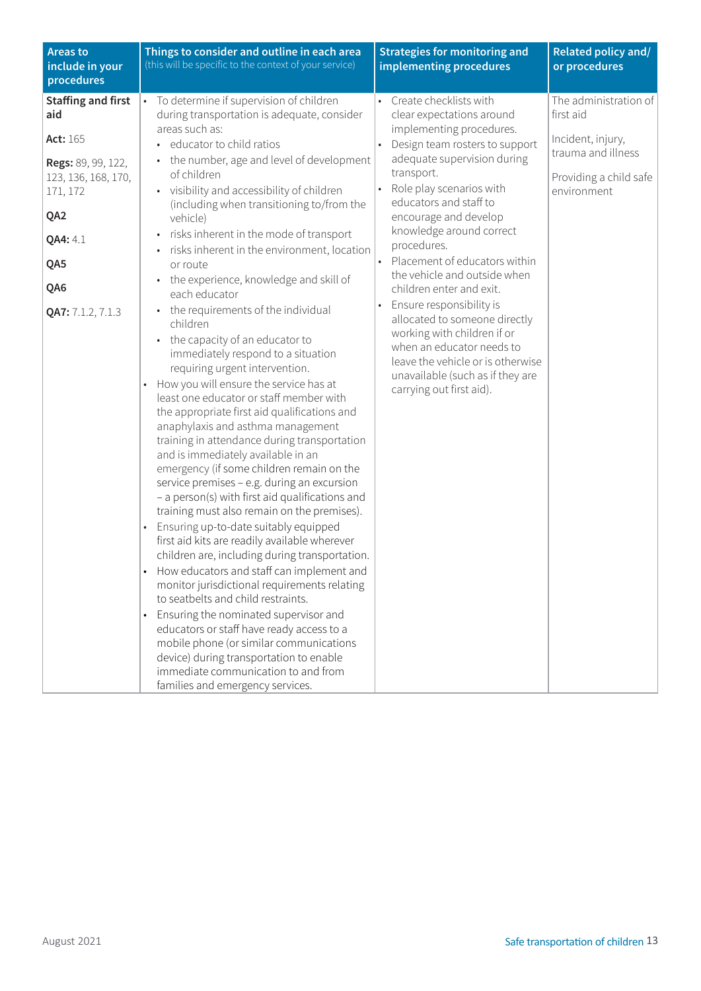| <b>Areas to</b><br>include in your<br>procedures                                            | Things to consider and outline in each area<br>(this will be specific to the context of your service)                                                                                                                                                                                                                                                                                                                                                                                                                                                                                                                                                                                                                                                                                                                                                                                                                                                                                                                                                                                                                                                                                                                    | <b>Strategies for monitoring and</b><br>implementing procedures                                                                                                                                                                                                                                    | Related policy and/<br>or procedures                                             |
|---------------------------------------------------------------------------------------------|--------------------------------------------------------------------------------------------------------------------------------------------------------------------------------------------------------------------------------------------------------------------------------------------------------------------------------------------------------------------------------------------------------------------------------------------------------------------------------------------------------------------------------------------------------------------------------------------------------------------------------------------------------------------------------------------------------------------------------------------------------------------------------------------------------------------------------------------------------------------------------------------------------------------------------------------------------------------------------------------------------------------------------------------------------------------------------------------------------------------------------------------------------------------------------------------------------------------------|----------------------------------------------------------------------------------------------------------------------------------------------------------------------------------------------------------------------------------------------------------------------------------------------------|----------------------------------------------------------------------------------|
| <b>Staffing and first</b><br>aid                                                            | To determine if supervision of children<br>$\bullet$<br>during transportation is adequate, consider                                                                                                                                                                                                                                                                                                                                                                                                                                                                                                                                                                                                                                                                                                                                                                                                                                                                                                                                                                                                                                                                                                                      | • Create checklists with<br>clear expectations around                                                                                                                                                                                                                                              | The administration of<br>first aid                                               |
| Act: 165<br>Regs: 89, 99, 122,<br>123, 136, 168, 170,<br>171, 172<br>QA2<br>QA4: 4.1<br>QA5 | areas such as:<br>· educator to child ratios<br>• the number, age and level of development<br>of children<br>• visibility and accessibility of children<br>(including when transitioning to/from the<br>vehicle)<br>risks inherent in the mode of transport<br>risks inherent in the environment, location<br>or route<br>• the experience, knowledge and skill of                                                                                                                                                                                                                                                                                                                                                                                                                                                                                                                                                                                                                                                                                                                                                                                                                                                       | implementing procedures.<br>Design team rosters to support<br>adequate supervision during<br>transport.<br>Role play scenarios with<br>educators and staff to<br>encourage and develop<br>knowledge around correct<br>procedures.<br>Placement of educators within<br>the vehicle and outside when | Incident, injury,<br>trauma and illness<br>Providing a child safe<br>environment |
| QA6<br>QA7: 7.1.2, 7.1.3                                                                    | each educator<br>• the requirements of the individual<br>children<br>• the capacity of an educator to<br>immediately respond to a situation<br>requiring urgent intervention.<br>How you will ensure the service has at<br>$\bullet$<br>least one educator or staff member with<br>the appropriate first aid qualifications and<br>anaphylaxis and asthma management<br>training in attendance during transportation<br>and is immediately available in an<br>emergency (if some children remain on the<br>service premises - e.g. during an excursion<br>- a person(s) with first aid qualifications and<br>training must also remain on the premises).<br>Ensuring up-to-date suitably equipped<br>$\bullet$<br>first aid kits are readily available wherever<br>children are, including during transportation.<br>How educators and staff can implement and<br>monitor jurisdictional requirements relating<br>to seatbelts and child restraints.<br>Ensuring the nominated supervisor and<br>$\bullet$<br>educators or staff have ready access to a<br>mobile phone (or similar communications<br>device) during transportation to enable<br>immediate communication to and from<br>families and emergency services. | children enter and exit.<br>Ensure responsibility is<br>allocated to someone directly<br>working with children if or<br>when an educator needs to<br>leave the vehicle or is otherwise<br>unavailable (such as if they are<br>carrying out first aid).                                             |                                                                                  |